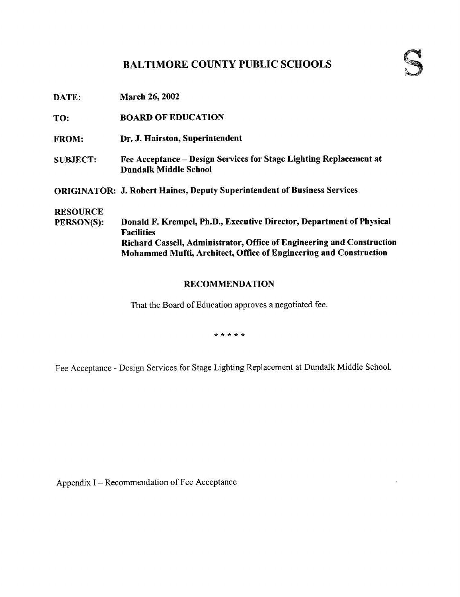# BALTIMORE COUNTY PUBLIC SCHOOLS

TO: BOARD OFEDUCATION

- FROM: Dr. J. Hairston, Superintendent
- SUBJECT: Fee Acceptance Design Services for Stage Lighting Replacement at Dundalk Middle School

ORIGINATOR: J. Robert Haines, Deputy Superintendent of Business Services

# **RESOURCE**<br>PERSON(S):

Donald F. Krempel, Ph.D., Executive Director, Department of Physical Facilities Richard Cassell, Administrator, Office of Engineering and Construction Mohammed Mufti, Architect, Office of Engineering and Construction

## RECOMMENDATION

That the Board of Education approves a negotiated fee.

\* \* \* \* \*

Fee Acceptance - Design Services for Stage Lighting Replacement at Dundalk Middle School.

Appendix I -- Recommendation of Fee Acceptance